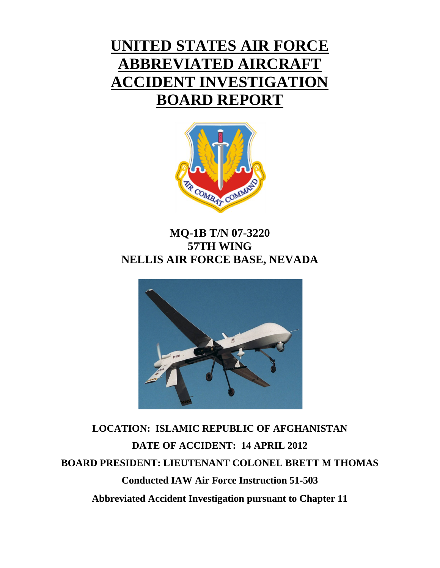# **UNITED STATES AIR FORCE ABBREVIATED AIRCRAFT ACCIDENT INVESTIGATION BOARD REPORT**



# **MQ-1B T/N 07-3220 57TH WING NELLIS AIR FORCE BASE, NEVADA**



**LOCATION: ISLAMIC REPUBLIC OF AFGHANISTAN DATE OF ACCIDENT: 14 APRIL 2012 BOARD PRESIDENT: LIEUTENANT COLONEL BRETT M THOMAS Conducted IAW Air Force Instruction 51-503 Abbreviated Accident Investigation pursuant to Chapter 11**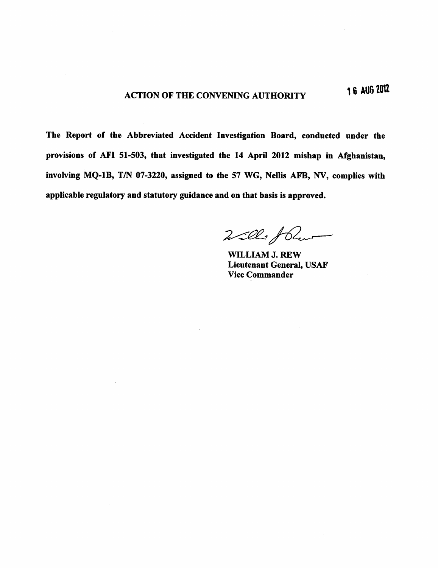The Report of the Abbreviated Accident Investigation Board, conducted under the provisions of AFI 51-503, that investigated the 14 April 2012 mishap in Afghanistan, involving MQ-1B, T/N 07-3220, assigned to the 57 WG, Nellis AFB, NV, complies with applicable regulatory and statutory guidance and on that basis is approved.

Wills fleur

WILLIAM J. REW **Lieutenant General, USAF Vice Commander**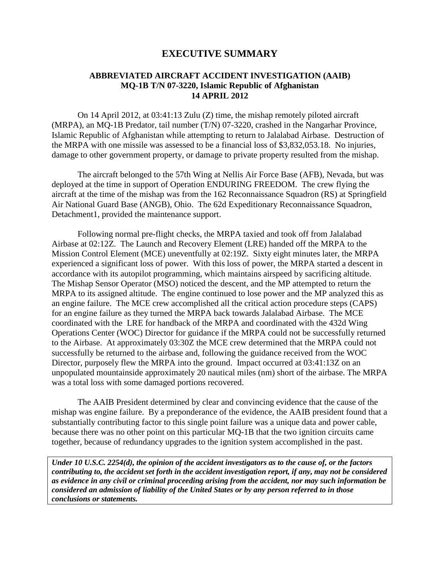### **EXECUTIVE SUMMARY**

### **ABBREVIATED AIRCRAFT ACCIDENT INVESTIGATION (AAIB) MQ-1B T/N 07-3220, Islamic Republic of Afghanistan 14 APRIL 2012**

On 14 April 2012, at 03:41:13 Zulu (Z) time, the mishap remotely piloted aircraft (MRPA), an MQ-1B Predator, tail number (T/N) 07-3220, crashed in the Nangarhar Province, Islamic Republic of Afghanistan while attempting to return to Jalalabad Airbase. Destruction of the MRPA with one missile was assessed to be a financial loss of \$3,832,053.18. No injuries, damage to other government property, or damage to private property resulted from the mishap.

The aircraft belonged to the 57th Wing at Nellis Air Force Base (AFB), Nevada, but was deployed at the time in support of Operation ENDURING FREEDOM. The crew flying the aircraft at the time of the mishap was from the 162 Reconnaissance Squadron (RS) at Springfield Air National Guard Base (ANGB), Ohio. The 62d Expeditionary Reconnaissance Squadron, Detachment1, provided the maintenance support.

Following normal pre-flight checks, the MRPA taxied and took off from Jalalabad Airbase at 02:12Z. The Launch and Recovery Element (LRE) handed off the MRPA to the Mission Control Element (MCE) uneventfully at 02:19Z. Sixty eight minutes later, the MRPA experienced a significant loss of power. With this loss of power, the MRPA started a descent in accordance with its autopilot programming, which maintains airspeed by sacrificing altitude. The Mishap Sensor Operator (MSO) noticed the descent, and the MP attempted to return the MRPA to its assigned altitude. The engine continued to lose power and the MP analyzed this as an engine failure. The MCE crew accomplished all the critical action procedure steps (CAPS) for an engine failure as they turned the MRPA back towards Jalalabad Airbase. The MCE coordinated with the LRE for handback of the MRPA and coordinated with the 432d Wing Operations Center (WOC) Director for guidance if the MRPA could not be successfully returned to the Airbase. At approximately 03:30Z the MCE crew determined that the MRPA could not successfully be returned to the airbase and, following the guidance received from the WOC Director, purposely flew the MRPA into the ground. Impact occurred at 03:41:13Z on an unpopulated mountainside approximately 20 nautical miles (nm) short of the airbase. The MRPA was a total loss with some damaged portions recovered.

The AAIB President determined by clear and convincing evidence that the cause of the mishap was engine failure. By a preponderance of the evidence, the AAIB president found that a substantially contributing factor to this single point failure was a unique data and power cable, because there was no other point on this particular MQ-1B that the two ignition circuits came together, because of redundancy upgrades to the ignition system accomplished in the past.

*Under 10 U.S.C. 2254(d), the opinion of the accident investigators as to the cause of, or the factors contributing to, the accident set forth in the accident investigation report, if any, may not be considered as evidence in any civil or criminal proceeding arising from the accident, nor may such information be considered an admission of liability of the United States or by any person referred to in those conclusions or statements.*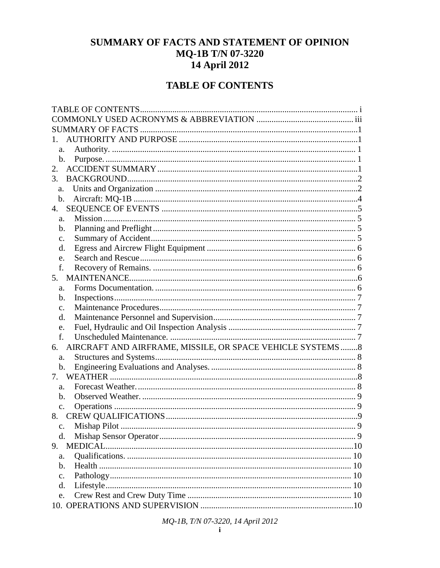# SUMMARY OF FACTS AND STATEMENT OF OPINION MQ-1B T/N 07-3220 14 April 2012

# **TABLE OF CONTENTS**

| a.                                                               |  |
|------------------------------------------------------------------|--|
| b.                                                               |  |
| 2.                                                               |  |
| 3.                                                               |  |
| a.                                                               |  |
| b.                                                               |  |
|                                                                  |  |
| a.                                                               |  |
| b.                                                               |  |
| $\mathbf{c}$ .                                                   |  |
| d.                                                               |  |
| e.                                                               |  |
| f.                                                               |  |
| 5.                                                               |  |
| a.                                                               |  |
| b.                                                               |  |
| $\mathbf{c}$ .                                                   |  |
| d.                                                               |  |
| e.                                                               |  |
| f.                                                               |  |
| AIRCRAFT AND AIRFRAME, MISSILE, OR SPACE VEHICLE SYSTEMS 8<br>6. |  |
| a.                                                               |  |
| b.                                                               |  |
|                                                                  |  |
| a.                                                               |  |
| b.                                                               |  |
| $\mathbf{c}$ .                                                   |  |
|                                                                  |  |
|                                                                  |  |
| d.                                                               |  |
| 9.                                                               |  |
| a.                                                               |  |
| Health.<br>b.                                                    |  |
| $C_{\star}$                                                      |  |
| d.                                                               |  |
| e.                                                               |  |
|                                                                  |  |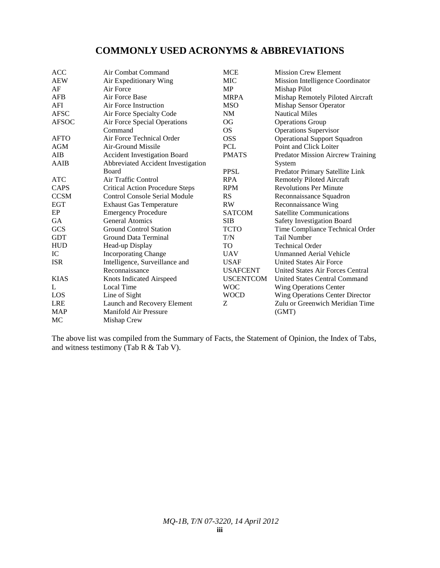# **COMMONLY USED ACRONYMS & ABBREVIATIONS**

| <b>ACC</b>   | Air Combat Command                     | <b>MCE</b>       | <b>Mission Crew Element</b>              |
|--------------|----------------------------------------|------------------|------------------------------------------|
| <b>AEW</b>   | Air Expeditionary Wing                 | <b>MIC</b>       | Mission Intelligence Coordinator         |
| AF           | Air Force                              | <b>MP</b>        | Mishap Pilot                             |
| <b>AFB</b>   | Air Force Base                         | <b>MRPA</b>      | Mishap Remotely Piloted Aircraft         |
| AFI          | Air Force Instruction                  | <b>MSO</b>       | Mishap Sensor Operator                   |
| <b>AFSC</b>  | Air Force Specialty Code               | <b>NM</b>        | <b>Nautical Miles</b>                    |
| <b>AFSOC</b> | Air Force Special Operations           | <b>OG</b>        | <b>Operations Group</b>                  |
|              | Command                                | <b>OS</b>        | <b>Operations Supervisor</b>             |
| <b>AFTO</b>  | Air Force Technical Order              | <b>OSS</b>       | <b>Operational Support Squadron</b>      |
| <b>AGM</b>   | Air-Ground Missile                     | <b>PCL</b>       | Point and Click Loiter                   |
| AIB          | <b>Accident Investigation Board</b>    | <b>PMATS</b>     | <b>Predator Mission Aircrew Training</b> |
| AAIB         | Abbreviated Accident Investigation     |                  | System                                   |
|              | <b>Board</b>                           | <b>PPSL</b>      | Predator Primary Satellite Link          |
| <b>ATC</b>   | Air Traffic Control                    | <b>RPA</b>       | <b>Remotely Piloted Aircraft</b>         |
| CAPS         | <b>Critical Action Procedure Steps</b> | <b>RPM</b>       | <b>Revolutions Per Minute</b>            |
| <b>CCSM</b>  | <b>Control Console Serial Module</b>   | <b>RS</b>        | Reconnaissance Squadron                  |
| <b>EGT</b>   | <b>Exhaust Gas Temperature</b>         | <b>RW</b>        | Reconnaissance Wing                      |
| EP           | <b>Emergency Procedure</b>             | <b>SATCOM</b>    | <b>Satellite Communications</b>          |
| GA           | <b>General Atomics</b>                 | <b>SIB</b>       | Safety Investigation Board               |
| <b>GCS</b>   | <b>Ground Control Station</b>          | <b>TCTO</b>      | Time Compliance Technical Order          |
| <b>GDT</b>   | Ground Data Terminal                   | T/N              | <b>Tail Number</b>                       |
| <b>HUD</b>   | Head-up Display                        | TO               | <b>Technical Order</b>                   |
| IC           | <b>Incorporating Change</b>            | <b>UAV</b>       | <b>Unmanned Aerial Vehicle</b>           |
| <b>ISR</b>   | Intelligence, Surveillance and         | <b>USAF</b>      | <b>United States Air Force</b>           |
|              | Reconnaissance                         | <b>USAFCENT</b>  | United States Air Forces Central         |
| <b>KIAS</b>  | Knots Indicated Airspeed               | <b>USCENTCOM</b> | United States Central Command            |
| L            | Local Time                             | <b>WOC</b>       | <b>Wing Operations Center</b>            |
| LOS          | Line of Sight                          | <b>WOCD</b>      | Wing Operations Center Director          |
| <b>LRE</b>   | Launch and Recovery Element            | Ζ                | Zulu or Greenwich Meridian Time          |
| <b>MAP</b>   | Manifold Air Pressure                  |                  | (GMT)                                    |
| MC           | Mishap Crew                            |                  |                                          |

The above list was compiled from the Summary of Facts, the Statement of Opinion, the Index of Tabs, and witness testimony (Tab R & Tab V).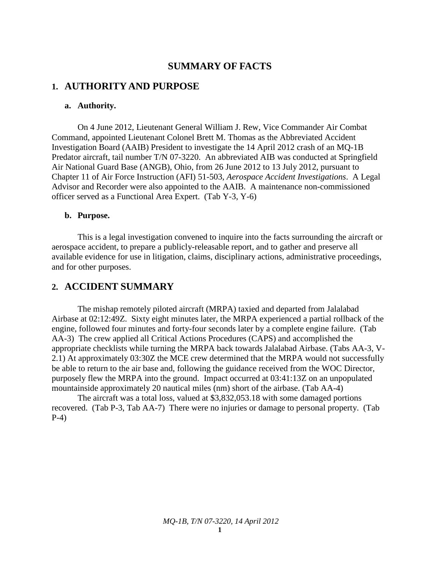### **SUMMARY OF FACTS**

### **1. AUTHORITY AND PURPOSE**

### **a. Authority.**

On 4 June 2012, Lieutenant General William J. Rew, Vice Commander Air Combat Command, appointed Lieutenant Colonel Brett M. Thomas as the Abbreviated Accident Investigation Board (AAIB) President to investigate the 14 April 2012 crash of an MQ-1B Predator aircraft, tail number T/N 07-3220. An abbreviated AIB was conducted at Springfield Air National Guard Base (ANGB), Ohio, from 26 June 2012 to 13 July 2012, pursuant to Chapter 11 of Air Force Instruction (AFI) 51-503, *Aerospace Accident Investigations*. A Legal Advisor and Recorder were also appointed to the AAIB. A maintenance non-commissioned officer served as a Functional Area Expert. (Tab Y-3, Y-6)

#### **b. Purpose.**

This is a legal investigation convened to inquire into the facts surrounding the aircraft or aerospace accident, to prepare a publicly-releasable report, and to gather and preserve all available evidence for use in litigation, claims, disciplinary actions, administrative proceedings, and for other purposes.

#### **2. ACCIDENT SUMMARY**

The mishap remotely piloted aircraft (MRPA) taxied and departed from Jalalabad Airbase at 02:12:49Z. Sixty eight minutes later, the MRPA experienced a partial rollback of the engine, followed four minutes and forty-four seconds later by a complete engine failure. (Tab AA-3) The crew applied all Critical Actions Procedures (CAPS) and accomplished the appropriate checklists while turning the MRPA back towards Jalalabad Airbase. (Tabs AA-3, V-2.1) At approximately 03:30Z the MCE crew determined that the MRPA would not successfully be able to return to the air base and, following the guidance received from the WOC Director, purposely flew the MRPA into the ground. Impact occurred at 03:41:13Z on an unpopulated mountainside approximately 20 nautical miles (nm) short of the airbase. (Tab AA-4)

The aircraft was a total loss, valued at \$3,832,053.18 with some damaged portions recovered. (Tab P-3, Tab AA-7) There were no injuries or damage to personal property. (Tab P-4)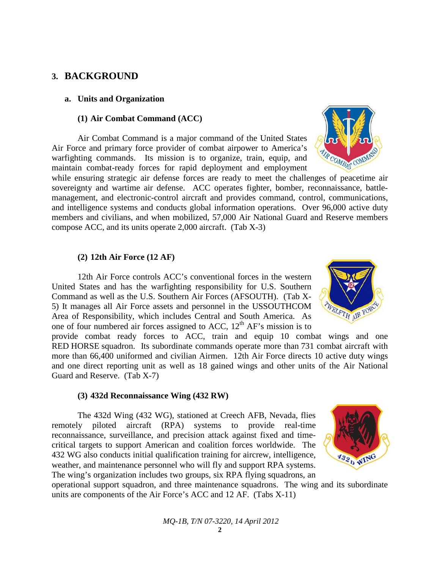### **3. BACKGROUND**

#### **a. Units and Organization**

#### **(1) Air Combat Command (ACC)**

Air Combat Command is a major command of the United States Air Force and primary force provider of combat airpower to America's warfighting commands. Its mission is to organize, train, equip, and maintain combat-ready forces for rapid deployment and employment

while ensuring strategic air defense forces are ready to meet the challenges of peacetime air sovereignty and wartime air defense. ACC operates fighter, bomber, reconnaissance, battlemanagement, and electronic-control aircraft and provides command, control, communications, and intelligence systems and conducts global information operations. Over 96,000 active duty members and civilians, and when mobilized, 57,000 Air National Guard and Reserve members compose ACC, and its units operate 2,000 aircraft. (Tab X-3)

### **(2) 12th Air Force (12 AF)**

12th Air Force controls ACC's conventional forces in the western United States and has the warfighting responsibility for U.S. Southern Command as well as the U.S. Southern Air Forces (AFSOUTH). (Tab X-5) It manages all Air Force assets and personnel in the USSOUTHCOM Area of Responsibility, which includes Central and South America. As one of four numbered air forces assigned to ACC,  $12<sup>th</sup>$  AF's mission is to

provide combat ready forces to ACC, train and equip 10 combat wings and one RED HORSE squadron. Its subordinate commands operate more than 731 combat aircraft with more than 66,400 uniformed and civilian Airmen. 12th Air Force directs 10 active duty wings and one direct reporting unit as well as 18 gained wings and other units of the Air National Guard and Reserve. (Tab X-7)

#### **(3) 432d Reconnaissance Wing (432 RW)**

The 432d Wing (432 WG), stationed at Creech AFB, Nevada, flies remotely piloted aircraft (RPA) systems to provide real-time reconnaissance, surveillance, and precision attack against fixed and timecritical targets to support American and coalition forces worldwide. The 432 WG also conducts initial qualification training for aircrew, intelligence, weather, and maintenance personnel who will fly and support RPA systems. The wing's organization includes two groups, six RPA flying squadrons, an

operational support squadron, and three maintenance squadrons. The wing and its subordinate units are components of the Air Force's ACC and 12 AF. (Tabs X-11)





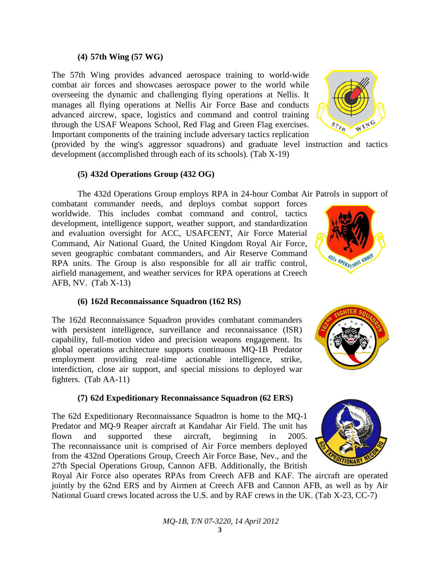# The 62d Expeditionary Reconnaissance Squadron is home to the MQ-1

Predator and MQ-9 Reaper aircraft at Kandahar Air Field. The unit has flown and supported these aircraft, beginning in 2005. The reconnaissance unit is comprised of Air Force members deployed from the 432nd Operations Group, Creech Air Force Base, Nev., and the 27th Special Operations Group, Cannon AFB. Additionally, the British

Royal Air Force also operates RPAs from Creech AFB and KAF. The aircraft are operated jointly by the 62nd ERS and by Airmen at Creech AFB and Cannon AFB, as well as by Air National Guard crews located across the U.S. and by RAF crews in the UK. (Tab X-23, CC-7)

# **(4) 57th Wing (57 WG)**

The 57th Wing provides advanced aerospace training to world-wide combat air forces and showcases aerospace power to the world while overseeing the dynamic and challenging flying operations at Nellis. It manages all flying operations at Nellis Air Force Base and conducts advanced aircrew, space, logistics and command and control training through the USAF Weapons School, Red Flag and Green Flag exercises. Important components of the training include adversary tactics replication

(provided by the wing's aggressor squadrons) and graduate level instruction and tactics development (accomplished through each of its schools). (Tab X-19)

### **(5) 432d Operations Group (432 OG)**

The 432d Operations Group employs RPA in 24-hour Combat Air Patrols in support of

combatant commander needs, and deploys combat support forces worldwide. This includes combat command and control, tactics development, intelligence support, weather support, and standardization and evaluation oversight for ACC, USAFCENT, Air Force Material Command, Air National Guard, the United Kingdom Royal Air Force, seven geographic combatant commanders, and Air Reserve Command RPA units. The Group is also responsible for all air traffic control, airfield management, and weather services for RPA operations at Creech AFB, NV. (Tab X-13)

### **(6) 162d Reconnaissance Squadron (162 RS)**

The 162d Reconnaissance Squadron provides combatant commanders with persistent intelligence, surveillance and reconnaissance (ISR) capability, full-motion video and precision weapons engagement. Its global operations architecture supports continuous MQ-1B Predator employment providing real-time actionable intelligence, strike, interdiction, close air support, and special missions to deployed war fighters. (Tab AA-11)

### **(7) 62d Expeditionary Reconnaissance Squadron (62 ERS)**







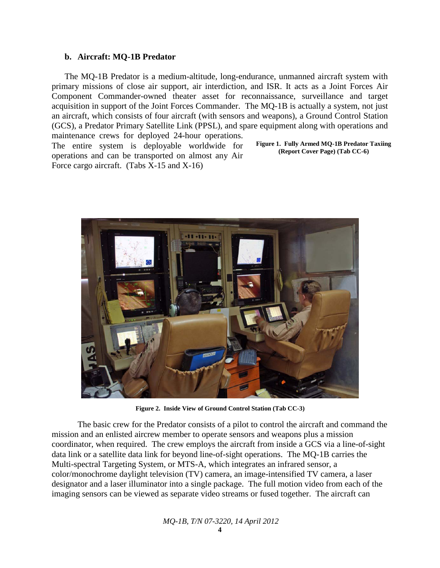### **b. Aircraft: MQ-1B Predator**

The MQ-1B Predator is a medium-altitude, long-endurance, unmanned aircraft system with primary missions of close air support, air interdiction, and ISR. It acts as a Joint Forces Air Component Commander-owned theater asset for reconnaissance, surveillance and target acquisition in support of the Joint Forces Commander. The MQ-1B is actually a system, not just an aircraft, which consists of four aircraft (with sensors and weapons), a Ground Control Station (GCS), a Predator Primary Satellite Link (PPSL), and spare equipment along with operations and maintenance crews for deployed 24-hour operations.

The entire system is deployable worldwide for operations and can be transported on almost any Air Force cargo aircraft. (Tabs X-15 and X-16)

**Figure 1. Fully Armed MQ-1B Predator Taxiing (Report Cover Page) (Tab CC-6)**



**Figure 2. Inside View of Ground Control Station (Tab CC-3)**

The basic crew for the Predator consists of a pilot to control the aircraft and command the mission and an enlisted aircrew member to operate sensors and weapons plus a mission coordinator, when required. The crew employs the aircraft from inside a GCS via a line-of-sight data link or a satellite data link for beyond line-of-sight operations. The MQ-1B carries the Multi-spectral Targeting System, or MTS-A, which integrates an infrared sensor, a color/monochrome daylight television (TV) camera, an image-intensified TV camera, a laser designator and a laser illuminator into a single package. The full motion video from each of the imaging sensors can be viewed as separate video streams or fused together. The aircraft can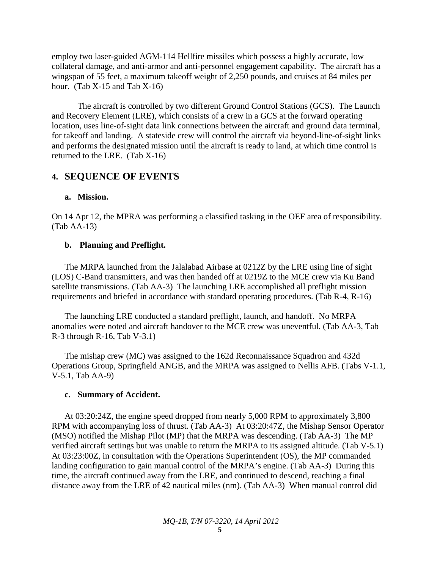employ two laser-guided AGM-114 Hellfire missiles which possess a highly accurate, low collateral damage, and anti-armor and anti-personnel engagement capability. The aircraft has a wingspan of 55 feet, a maximum takeoff weight of 2,250 pounds, and cruises at 84 miles per hour. (Tab  $X-15$  and Tab  $X-16$ )

The aircraft is controlled by two different Ground Control Stations (GCS). The Launch and Recovery Element (LRE), which consists of a crew in a GCS at the forward operating location, uses line-of-sight data link connections between the aircraft and ground data terminal, for takeoff and landing. A stateside crew will control the aircraft via beyond-line-of-sight links and performs the designated mission until the aircraft is ready to land, at which time control is returned to the LRE. (Tab X-16)

### **4. SEQUENCE OF EVENTS**

### **a. Mission.**

On 14 Apr 12, the MPRA was performing a classified tasking in the OEF area of responsibility. (Tab AA-13)

### **b. Planning and Preflight.**

The MRPA launched from the Jalalabad Airbase at 0212Z by the LRE using line of sight (LOS) C-Band transmitters, and was then handed off at 0219Z to the MCE crew via Ku Band satellite transmissions. (Tab AA-3) The launching LRE accomplished all preflight mission requirements and briefed in accordance with standard operating procedures. (Tab R-4, R-16)

The launching LRE conducted a standard preflight, launch, and handoff. No MRPA anomalies were noted and aircraft handover to the MCE crew was uneventful. (Tab AA-3, Tab  $R-3$  through  $R-16$ , Tab  $V-3.1$ )

The mishap crew (MC) was assigned to the 162d Reconnaissance Squadron and 432d Operations Group, Springfield ANGB, and the MRPA was assigned to Nellis AFB. (Tabs V-1.1, V-5.1, Tab AA-9)

### **c. Summary of Accident.**

At 03:20:24Z, the engine speed dropped from nearly 5,000 RPM to approximately 3,800 RPM with accompanying loss of thrust. (Tab AA-3) At 03:20:47Z, the Mishap Sensor Operator (MSO) notified the Mishap Pilot (MP) that the MRPA was descending. (Tab AA-3) The MP verified aircraft settings but was unable to return the MRPA to its assigned altitude. (Tab V-5.1) At 03:23:00Z, in consultation with the Operations Superintendent (OS), the MP commanded landing configuration to gain manual control of the MRPA's engine. (Tab AA-3) During this time, the aircraft continued away from the LRE, and continued to descend, reaching a final distance away from the LRE of 42 nautical miles (nm). (Tab AA-3) When manual control did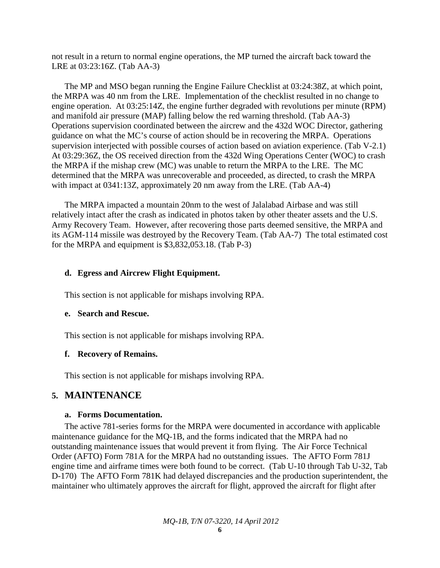not result in a return to normal engine operations, the MP turned the aircraft back toward the LRE at 03:23:16Z. (Tab AA-3)

The MP and MSO began running the Engine Failure Checklist at 03:24:38Z, at which point, the MRPA was 40 nm from the LRE. Implementation of the checklist resulted in no change to engine operation. At 03:25:14Z, the engine further degraded with revolutions per minute (RPM) and manifold air pressure (MAP) falling below the red warning threshold. (Tab AA-3) Operations supervision coordinated between the aircrew and the 432d WOC Director, gathering guidance on what the MC's course of action should be in recovering the MRPA. Operations supervision interjected with possible courses of action based on aviation experience. (Tab V-2.1) At 03:29:36Z, the OS received direction from the 432d Wing Operations Center (WOC) to crash the MRPA if the mishap crew (MC) was unable to return the MRPA to the LRE. The MC determined that the MRPA was unrecoverable and proceeded, as directed, to crash the MRPA with impact at 0341:13Z, approximately 20 nm away from the LRE. (Tab AA-4)

The MRPA impacted a mountain 20nm to the west of Jalalabad Airbase and was still relatively intact after the crash as indicated in photos taken by other theater assets and the U.S. Army Recovery Team. However, after recovering those parts deemed sensitive, the MRPA and its AGM-114 missile was destroyed by the Recovery Team. (Tab AA-7) The total estimated cost for the MRPA and equipment is \$3,832,053.18. (Tab P-3)

#### **d. Egress and Aircrew Flight Equipment.**

This section is not applicable for mishaps involving RPA.

#### **e. Search and Rescue.**

This section is not applicable for mishaps involving RPA.

#### **f. Recovery of Remains.**

This section is not applicable for mishaps involving RPA.

### **5. MAINTENANCE**

#### **a. Forms Documentation.**

The active 781-series forms for the MRPA were documented in accordance with applicable maintenance guidance for the MQ-1B, and the forms indicated that the MRPA had no outstanding maintenance issues that would prevent it from flying. The Air Force Technical Order (AFTO) Form 781A for the MRPA had no outstanding issues. The AFTO Form 781J engine time and airframe times were both found to be correct. (Tab U-10 through Tab U-32, Tab D-170) The AFTO Form 781K had delayed discrepancies and the production superintendent, the maintainer who ultimately approves the aircraft for flight, approved the aircraft for flight after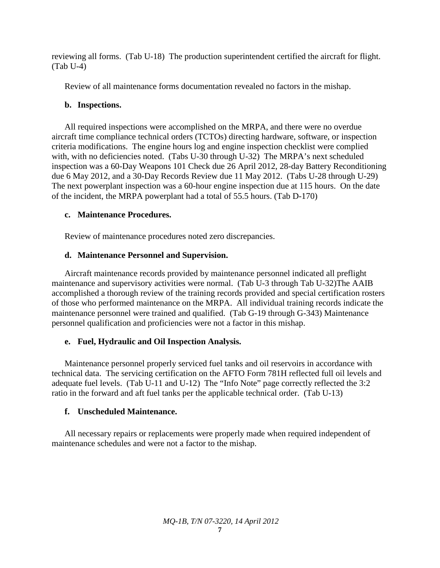reviewing all forms. (Tab U-18) The production superintendent certified the aircraft for flight. (Tab U-4)

Review of all maintenance forms documentation revealed no factors in the mishap.

### **b. Inspections.**

All required inspections were accomplished on the MRPA, and there were no overdue aircraft time compliance technical orders (TCTOs) directing hardware, software, or inspection criteria modifications. The engine hours log and engine inspection checklist were complied with, with no deficiencies noted. (Tabs U-30 through U-32) The MRPA's next scheduled inspection was a 60-Day Weapons 101 Check due 26 April 2012, 28-day Battery Reconditioning due 6 May 2012, and a 30-Day Records Review due 11 May 2012. (Tabs U-28 through U-29) The next powerplant inspection was a 60-hour engine inspection due at 115 hours. On the date of the incident, the MRPA powerplant had a total of 55.5 hours. (Tab D-170)

### **c. Maintenance Procedures.**

Review of maintenance procedures noted zero discrepancies.

### **d. Maintenance Personnel and Supervision.**

Aircraft maintenance records provided by maintenance personnel indicated all preflight maintenance and supervisory activities were normal. (Tab U-3 through Tab U-32)The AAIB accomplished a thorough review of the training records provided and special certification rosters of those who performed maintenance on the MRPA. All individual training records indicate the maintenance personnel were trained and qualified. (Tab G-19 through G-343) Maintenance personnel qualification and proficiencies were not a factor in this mishap.

### **e. Fuel, Hydraulic and Oil Inspection Analysis.**

Maintenance personnel properly serviced fuel tanks and oil reservoirs in accordance with technical data. The servicing certification on the AFTO Form 781H reflected full oil levels and adequate fuel levels. (Tab U-11 and U-12) The "Info Note" page correctly reflected the 3:2 ratio in the forward and aft fuel tanks per the applicable technical order. (Tab U-13)

### **f. Unscheduled Maintenance.**

All necessary repairs or replacements were properly made when required independent of maintenance schedules and were not a factor to the mishap.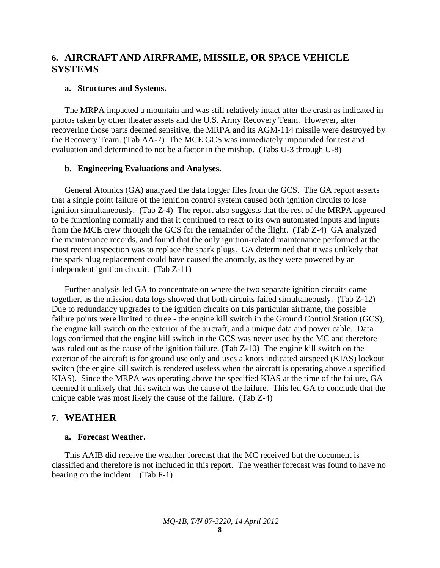### **6. AIRCRAFT AND AIRFRAME, MISSILE, OR SPACE VEHICLE SYSTEMS**

#### **a. Structures and Systems.**

The MRPA impacted a mountain and was still relatively intact after the crash as indicated in photos taken by other theater assets and the U.S. Army Recovery Team. However, after recovering those parts deemed sensitive, the MRPA and its AGM-114 missile were destroyed by the Recovery Team. (Tab AA-7) The MCE GCS was immediately impounded for test and evaluation and determined to not be a factor in the mishap. (Tabs U-3 through U-8)

#### **b. Engineering Evaluations and Analyses.**

General Atomics (GA) analyzed the data logger files from the GCS. The GA report asserts that a single point failure of the ignition control system caused both ignition circuits to lose ignition simultaneously. (Tab Z-4) The report also suggests that the rest of the MRPA appeared to be functioning normally and that it continued to react to its own automated inputs and inputs from the MCE crew through the GCS for the remainder of the flight. (Tab Z-4) GA analyzed the maintenance records, and found that the only ignition-related maintenance performed at the most recent inspection was to replace the spark plugs. GA determined that it was unlikely that the spark plug replacement could have caused the anomaly, as they were powered by an independent ignition circuit. (Tab Z-11)

Further analysis led GA to concentrate on where the two separate ignition circuits came together, as the mission data logs showed that both circuits failed simultaneously. (Tab Z-12) Due to redundancy upgrades to the ignition circuits on this particular airframe, the possible failure points were limited to three - the engine kill switch in the Ground Control Station (GCS), the engine kill switch on the exterior of the aircraft, and a unique data and power cable. Data logs confirmed that the engine kill switch in the GCS was never used by the MC and therefore was ruled out as the cause of the ignition failure. (Tab Z-10) The engine kill switch on the exterior of the aircraft is for ground use only and uses a knots indicated airspeed (KIAS) lockout switch (the engine kill switch is rendered useless when the aircraft is operating above a specified KIAS). Since the MRPA was operating above the specified KIAS at the time of the failure, GA deemed it unlikely that this switch was the cause of the failure. This led GA to conclude that the unique cable was most likely the cause of the failure. (Tab Z-4)

### **7. WEATHER**

#### **a. Forecast Weather.**

This AAIB did receive the weather forecast that the MC received but the document is classified and therefore is not included in this report. The weather forecast was found to have no bearing on the incident. (Tab F-1)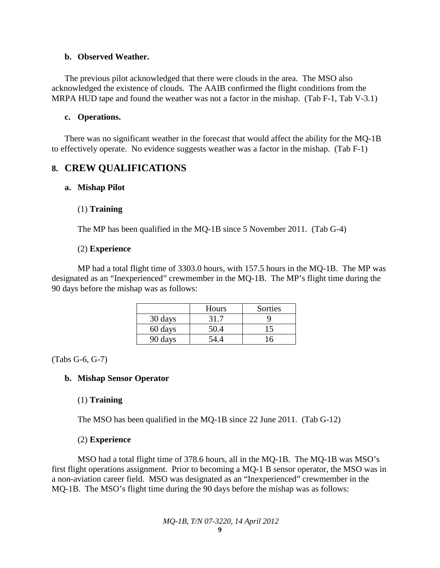### **b. Observed Weather.**

The previous pilot acknowledged that there were clouds in the area. The MSO also acknowledged the existence of clouds. The AAIB confirmed the flight conditions from the MRPA HUD tape and found the weather was not a factor in the mishap. (Tab F-1, Tab V-3.1)

### **c. Operations.**

There was no significant weather in the forecast that would affect the ability for the MQ-1B to effectively operate. No evidence suggests weather was a factor in the mishap. (Tab F-1)

### **8. CREW QUALIFICATIONS**

### **a. Mishap Pilot**

### (1) **Training**

The MP has been qualified in the MQ-1B since 5 November 2011. (Tab G-4)

### (2) **Experience**

MP had a total flight time of 3303.0 hours, with 157.5 hours in the MQ-1B. The MP was designated as an "Inexperienced" crewmember in the MQ-1B. The MP's flight time during the 90 days before the mishap was as follows:

|         | Hours | Sorties |
|---------|-------|---------|
| 30 days | 31.7  |         |
| 60 days | 50.4  | 15      |
| 90 days | 24.4  |         |

(Tabs G-6, G-7)

### **b. Mishap Sensor Operator**

### (1) **Training**

The MSO has been qualified in the MQ-1B since 22 June 2011. (Tab G-12)

### (2) **Experience**

MSO had a total flight time of 378.6 hours, all in the MQ-1B. The MQ-1B was MSO's first flight operations assignment. Prior to becoming a MQ-1 B sensor operator, the MSO was in a non-aviation career field. MSO was designated as an "Inexperienced" crewmember in the MQ-1B. The MSO's flight time during the 90 days before the mishap was as follows: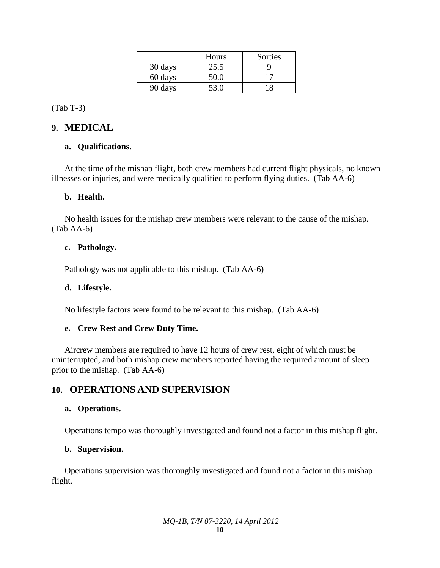|         | Hours | Sorties |
|---------|-------|---------|
| 30 days | 25.5  |         |
| 60 days | 50.0  |         |
| 90 days | 53.0  |         |

(Tab T-3)

### **9. MEDICAL**

### **a. Qualifications.**

At the time of the mishap flight, both crew members had current flight physicals, no known illnesses or injuries, and were medically qualified to perform flying duties. (Tab AA-6)

### **b. Health.**

No health issues for the mishap crew members were relevant to the cause of the mishap. (Tab AA-6)

### **c. Pathology.**

Pathology was not applicable to this mishap. (Tab AA-6)

### **d. Lifestyle.**

No lifestyle factors were found to be relevant to this mishap. (Tab AA-6)

### **e. Crew Rest and Crew Duty Time.**

Aircrew members are required to have 12 hours of crew rest, eight of which must be uninterrupted, and both mishap crew members reported having the required amount of sleep prior to the mishap. (Tab AA-6)

### **10. OPERATIONS AND SUPERVISION**

### **a. Operations.**

Operations tempo was thoroughly investigated and found not a factor in this mishap flight.

### **b. Supervision.**

Operations supervision was thoroughly investigated and found not a factor in this mishap flight.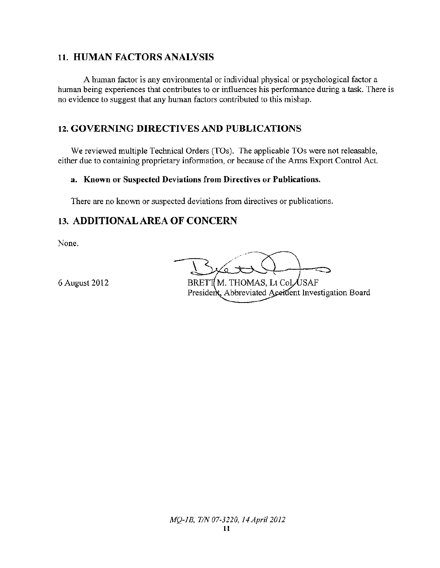### **11. HUMAN FACTORS ANALYSIS**

A human factor is any environmental or individual physical or psychological factor a human being experiences that contributes to or influences his performance during a task. There is no evidence to suggest that any human factors contributed to this mishap.

## **12. GOVERNING DIRECTIVES AND PUBLICATIONS**

We reviewed multiple Technical Orders (TOs). The applicable TOs were not releasable, either due to containing proprietary information, or because of the Arms Export Control Act.

### a. Known or Suspected Deviations from Directives or Publications.

There are no known or suspected deviations from directives or publications.

### **13. ADDITIONAL AREA OF CONCERN**

None.

6 August 2012

BRETT M. THOMAS, Lt Col USAF President, Abbreviated Aceident Investigation Board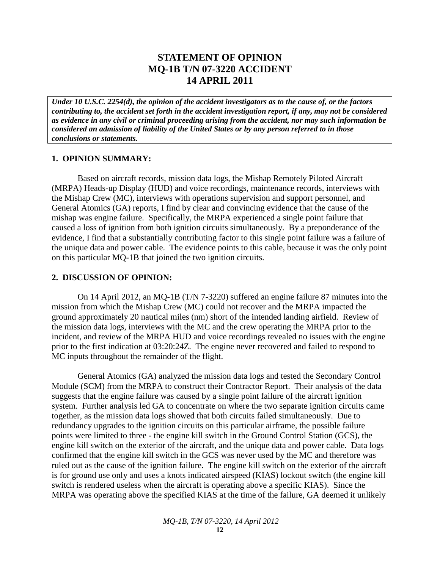### **STATEMENT OF OPINION MQ-1B T/N 07-3220 ACCIDENT 14 APRIL 2011**

*Under 10 U.S.C. 2254(d), the opinion of the accident investigators as to the cause of, or the factors contributing to, the accident set forth in the accident investigation report, if any, may not be considered as evidence in any civil or criminal proceeding arising from the accident, nor may such information be considered an admission of liability of the United States or by any person referred to in those conclusions or statements.*

#### **1. OPINION SUMMARY:**

Based on aircraft records, mission data logs, the Mishap Remotely Piloted Aircraft (MRPA) Heads-up Display (HUD) and voice recordings, maintenance records, interviews with the Mishap Crew (MC), interviews with operations supervision and support personnel, and General Atomics (GA) reports, I find by clear and convincing evidence that the cause of the mishap was engine failure. Specifically, the MRPA experienced a single point failure that caused a loss of ignition from both ignition circuits simultaneously. By a preponderance of the evidence, I find that a substantially contributing factor to this single point failure was a failure of the unique data and power cable. The evidence points to this cable, because it was the only point on this particular MQ-1B that joined the two ignition circuits.

#### **2. DISCUSSION OF OPINION:**

On 14 April 2012, an MQ-1B (T/N 7-3220) suffered an engine failure 87 minutes into the mission from which the Mishap Crew (MC) could not recover and the MRPA impacted the ground approximately 20 nautical miles (nm) short of the intended landing airfield. Review of the mission data logs, interviews with the MC and the crew operating the MRPA prior to the incident, and review of the MRPA HUD and voice recordings revealed no issues with the engine prior to the first indication at 03:20:24Z. The engine never recovered and failed to respond to MC inputs throughout the remainder of the flight.

General Atomics (GA) analyzed the mission data logs and tested the Secondary Control Module (SCM) from the MRPA to construct their Contractor Report. Their analysis of the data suggests that the engine failure was caused by a single point failure of the aircraft ignition system. Further analysis led GA to concentrate on where the two separate ignition circuits came together, as the mission data logs showed that both circuits failed simultaneously. Due to redundancy upgrades to the ignition circuits on this particular airframe, the possible failure points were limited to three - the engine kill switch in the Ground Control Station (GCS), the engine kill switch on the exterior of the aircraft, and the unique data and power cable. Data logs confirmed that the engine kill switch in the GCS was never used by the MC and therefore was ruled out as the cause of the ignition failure. The engine kill switch on the exterior of the aircraft is for ground use only and uses a knots indicated airspeed (KIAS) lockout switch (the engine kill switch is rendered useless when the aircraft is operating above a specific KIAS). Since the MRPA was operating above the specified KIAS at the time of the failure, GA deemed it unlikely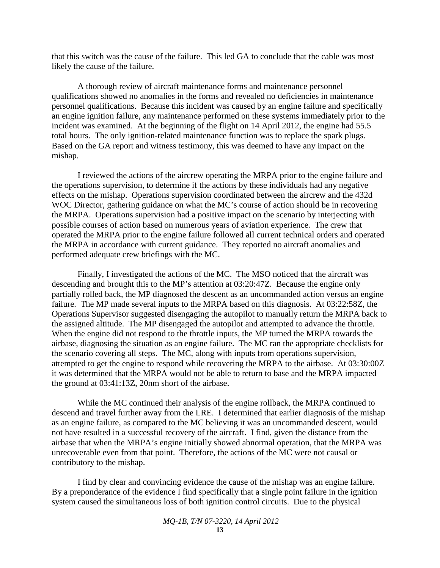that this switch was the cause of the failure. This led GA to conclude that the cable was most likely the cause of the failure.

A thorough review of aircraft maintenance forms and maintenance personnel qualifications showed no anomalies in the forms and revealed no deficiencies in maintenance personnel qualifications. Because this incident was caused by an engine failure and specifically an engine ignition failure, any maintenance performed on these systems immediately prior to the incident was examined. At the beginning of the flight on 14 April 2012, the engine had 55.5 total hours. The only ignition-related maintenance function was to replace the spark plugs. Based on the GA report and witness testimony, this was deemed to have any impact on the mishap.

I reviewed the actions of the aircrew operating the MRPA prior to the engine failure and the operations supervision, to determine if the actions by these individuals had any negative effects on the mishap. Operations supervision coordinated between the aircrew and the 432d WOC Director, gathering guidance on what the MC's course of action should be in recovering the MRPA. Operations supervision had a positive impact on the scenario by interjecting with possible courses of action based on numerous years of aviation experience. The crew that operated the MRPA prior to the engine failure followed all current technical orders and operated the MRPA in accordance with current guidance. They reported no aircraft anomalies and performed adequate crew briefings with the MC.

Finally, I investigated the actions of the MC. The MSO noticed that the aircraft was descending and brought this to the MP's attention at 03:20:47Z. Because the engine only partially rolled back, the MP diagnosed the descent as an uncommanded action versus an engine failure. The MP made several inputs to the MRPA based on this diagnosis. At 03:22:58Z, the Operations Supervisor suggested disengaging the autopilot to manually return the MRPA back to the assigned altitude. The MP disengaged the autopilot and attempted to advance the throttle. When the engine did not respond to the throttle inputs, the MP turned the MRPA towards the airbase, diagnosing the situation as an engine failure. The MC ran the appropriate checklists for the scenario covering all steps. The MC, along with inputs from operations supervision, attempted to get the engine to respond while recovering the MRPA to the airbase. At 03:30:00Z it was determined that the MRPA would not be able to return to base and the MRPA impacted the ground at 03:41:13Z, 20nm short of the airbase.

While the MC continued their analysis of the engine rollback, the MRPA continued to descend and travel further away from the LRE. I determined that earlier diagnosis of the mishap as an engine failure, as compared to the MC believing it was an uncommanded descent, would not have resulted in a successful recovery of the aircraft. I find, given the distance from the airbase that when the MRPA's engine initially showed abnormal operation, that the MRPA was unrecoverable even from that point. Therefore, the actions of the MC were not causal or contributory to the mishap.

I find by clear and convincing evidence the cause of the mishap was an engine failure. By a preponderance of the evidence I find specifically that a single point failure in the ignition system caused the simultaneous loss of both ignition control circuits. Due to the physical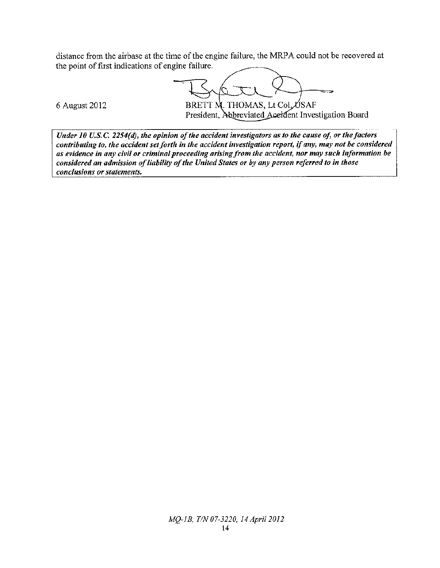distance from the airbase at the time of the engine failure, the MRPA could not be recovered at the point of first indications of engine failure.

BRETT M. THOMAS, Lt Col, USAF

6 August 2012

President, Abbreviated Accident Investigation Board

Under 10 U.S.C. 2254(d), the opinion of the accident investigators as to the cause of, or the factors contributing to, the accident set forth in the accident investigation report, if any, may not be considered as evidence in any civil or criminal proceeding arising from the accident, nor may such information be considered an admission of liability of the United States or by any person referred to in those conclusions or statements.